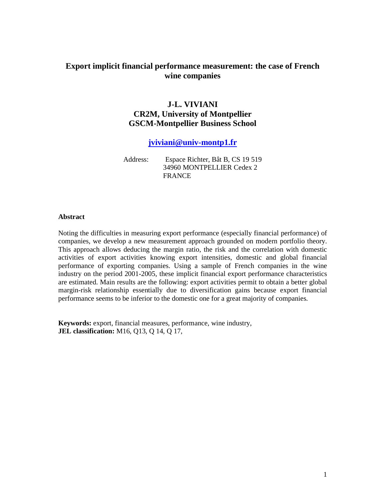## **Export implicit financial performance measurement: the case of French wine companies**

# **J-L. VIVIANI CR2M, University of Montpellier GSCM-Montpellier Business School**

**jviviani@univ-montp1.fr**

Address: Espace Richter, Bât B, CS 19 519 34960 MONTPELLIER Cedex 2 **FRANCE** 

#### **Abstract**

Noting the difficulties in measuring export performance (especially financial performance) of companies, we develop a new measurement approach grounded on modern portfolio theory. This approach allows deducing the margin ratio, the risk and the correlation with domestic activities of export activities knowing export intensities, domestic and global financial performance of exporting companies. Using a sample of French companies in the wine industry on the period 2001-2005, these implicit financial export performance characteristics are estimated. Main results are the following: export activities permit to obtain a better global margin-risk relationship essentially due to diversification gains because export financial performance seems to be inferior to the domestic one for a great majority of companies.

**Keywords:** export, financial measures, performance, wine industry, **JEL classification:** M16, Q13, Q 14, Q 17,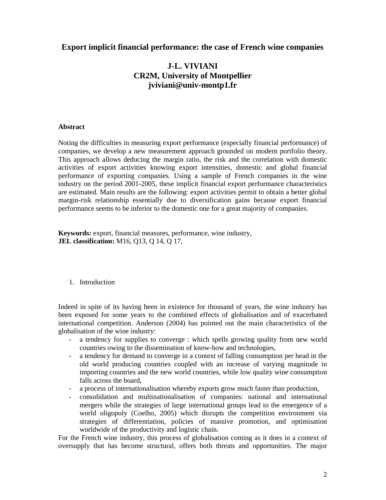### **Export implicit financial performance: the case of French wine companies**

# **J-L. VIVIANI CR2M, University of Montpellier jviviani@univ-montp1.fr**

#### **Abstract**

Noting the difficulties in measuring export performance (especially financial performance) of companies, we develop a new measurement approach grounded on modern portfolio theory. This approach allows deducing the margin ratio, the risk and the correlation with domestic activities of export activities knowing export intensities, domestic and global financial performance of exporting companies. Using a sample of French companies in the wine industry on the period 2001-2005, these implicit financial export performance characteristics are estimated. Main results are the following: export activities permit to obtain a better global margin-risk relationship essentially due to diversification gains because export financial performance seems to be inferior to the domestic one for a great majority of companies.

**Keywords:** export, financial measures, performance, wine industry, **JEL classification:** M16, Q13, Q 14, Q 17,

#### 1. Introduction

Indeed in spite of its having been in existence for thousand of years, the wine industry has been exposed for some years to the combined effects of globalisation and of exacerbated international competition. Anderson (2004) has pointed out the main characteristics of the globalisation of the wine industry:

- a tendency for supplies to converge : which spells growing quality from new world countries owing to the dissemination of know-how and technologies,
- a tendency for demand to converge in a context of falling consumption per head in the old world producing countries coupled with an increase of varying magnitude in importing countries and the new world countries, while low quality wine consumption falls across the board,
- a process of internationalisation whereby exports grow much faster than production,
- consolidation and multinationalisation of companies: national and international mergers while the strategies of large international groups lead to the emergence of a world oligopoly (Coelho, 2005) which disrupts the competition environment via strategies of differentiation, policies of massive promotion, and optimisation worldwide of the productivity and logistic chain.

For the French wine industry, this process of globalisation coming as it does in a context of oversupply that has become structural, offers both threats and opportunities. The major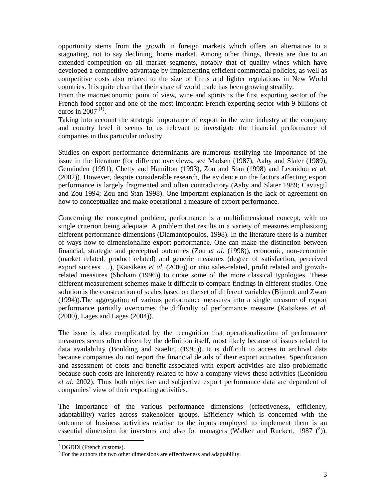opportunity stems from the growth in foreign markets which offers an alternative to a stagnating, not to say declining, home market. Among other things, threats are due to an extended competition on all market segments, notably that of quality wines which have developed a competitive advantage by implementing efficient commercial policies, as well as competitive costs also related to the size of firms and lighter regulations in New World countries. It is quite clear that their share of world trade has been growing steadily.

From the macroeconomic point of view, wine and spirits is the first exporting sector of the French food sector and one of the most important French exporting sector with 9 billions of euros in 2007 $(1)$ .

Taking into account the strategic importance of export in the wine industry at the company and country level it seems to us relevant to investigate the financial performance of companies in this particular industry.

Studies on export performance determinants are numerous testifying the importance of the issue in the literature (for different overviews, see Madsen (1987), Aaby and Slater (1989), Gemünden (1991), Chetty and Hamilton (1993), Zou and Stan (1998) and Leonidou *et al.* (2002)). However, despite considerable research, the evidence on the factors affecting export performance is largely fragmented and often contradictory (Aaby and Slater 1989; Cavusgil and Zou 1994; Zou and Stan 1998). One important explanation is the lack of agreement on how to conceptualize and make operational a measure of export performance.

Concerning the conceptual problem, performance is a multidimensional concept, with no single criterion being adequate. A problem that results in a variety of measures emphasizing different performance dimensions (Diamantopoulos, 1998). In the literature there is a number of ways how to dimensionalize export performance. One can make the distinction between financial, strategic and perceptual outcomes (Zou *et al.* (1998)), economic, non-economic (market related, product related) and generic measures (degree of satisfaction, perceived export success ...), (Katsikeas *et al.* (2000)) or into sales-related, profit related and growthrelated measures (Shoham (1996)) to quote some of the more classical typologies. These different measurement schemes make it difficult to compare findings in different studies. One solution is the construction of scales based on the set of different variables (Bijmolt and Zwart (1994)).The aggregation of various performance measures into a single measure of export performance partially overcomes the difficulty of performance measure (Katsikeas *et al.* (2000), Lages and Lages (2004)).

The issue is also complicated by the recognition that operationalization of performance measures seems often driven by the definition itself, most likely because of issues related to data availability (Boulding and Staelin, (1995)). It is difficult to access to archival data because companies do not report the financial details of their export activities. Specification and assessment of costs and benefit associated with export activities are also problematic because such costs are inherently related to how a company views these activities (Leonidou *et al.* 2002). Thus both objective and subjective export performance data are dependent of companies' view of their exporting activities.

The importance of the various performance dimensions (effectiveness, efficiency, adaptability) varies across stakeholder groups. Efficiency which is concerned with the outcome of business activities relative to the inputs employed to implement them is an essential dimension for investors and also for managers (Walker and Ruckert, 1987  $(^2)$ ).

-

<sup>&</sup>lt;sup>1</sup> DGDDI (French customs).

 $2^2$  For the authors the two other dimensions are effectiveness and adaptability.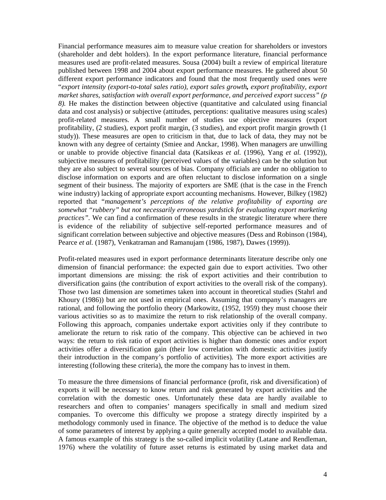Financial performance measures aim to measure value creation for shareholders or investors (shareholder and debt holders). In the export performance literature, financial performance measures used are profit-related measures. Sousa (2004) built a review of empirical literature published between 1998 and 2004 about export performance measures. He gathered about 50 different export performance indicators and found that the most frequently used ones were "*export intensity (export-to-total sales ratio), export sales growth, export profitability, export market shares, satisfaction with overall export performance, and perceived export success" (p 8).* He makes the distinction between objective (quantitative and calculated using financial data and cost analysis) or subjective (attitudes, perceptions: qualitative measures using scales) profit-related measures. A small number of studies use objective measures (export profitability, (2 studies), export profit margin, (3 studies), and export profit margin growth (1 study)). These measures are open to criticism in that, due to lack of data, they may not be known with any degree of certainty (Smiee and Anckar, 1998). When managers are unwilling or unable to provide objective financial data (Katsikeas *et al.* (1996), Yang *et al.* (1992)), subjective measures of profitability (perceived values of the variables) can be the solution but they are also subject to several sources of bias. Company officials are under no obligation to disclose information on exports and are often reluctant to disclose information on a single segment of their business. The majority of exporters are SME (that is the case in the French wine industry) lacking of appropriate export accounting mechanisms. However, Bilkey (1982) reported that "*management's perceptions of the relative profitability of exporting are somewhat "rubbery" but not necessarily erroneous yardstick for evaluating export marketing practices"*. We can find a confirmation of these results in the strategic literature where there is evidence of the reliability of subjective self-reported performance measures and of significant correlation between subjective and objective measures (Dess and Robinson (1984), Pearce *et al.* (1987), Venkatraman and Ramanujam (1986, 1987), Dawes (1999)).

Profit-related measures used in export performance determinants literature describe only one dimension of financial performance: the expected gain due to export activities. Two other important dimensions are missing: the risk of export activities and their contribution to diversification gains (the contribution of export activities to the overall risk of the company). Those two last dimension are sometimes taken into account in theoretical studies (Stahrl and Khoury (1986)) but are not used in empirical ones. Assuming that company's managers are rational, and following the portfolio theory (Markowitz, (1952, 1959) they must choose their various activities so as to maximize the return to risk relationship of the overall company. Following this approach, companies undertake export activities only if they contribute to ameliorate the return to risk ratio of the company. This objective can be achieved in two ways: the return to risk ratio of export activities is higher than domestic ones and/or export activities offer a diversification gain (their low correlation with domestic activities justify their introduction in the company's portfolio of activities). The more export activities are interesting (following these criteria), the more the company has to invest in them.

To measure the three dimensions of financial performance (profit, risk and diversification) of exports it will be necessary to know return and risk generated by export activities and the correlation with the domestic ones. Unfortunately these data are hardly available to researchers and often to companies' managers specifically in small and medium sized companies. To overcome this difficulty we propose a strategy directly inspirited by a methodology commonly used in finance. The objective of the method is to deduce the value of some parameters of interest by applying a quite generally accepted model to available data. A famous example of this strategy is the so-called implicit volatility (Latane and Rendleman, 1976) where the volatility of future asset returns is estimated by using market data and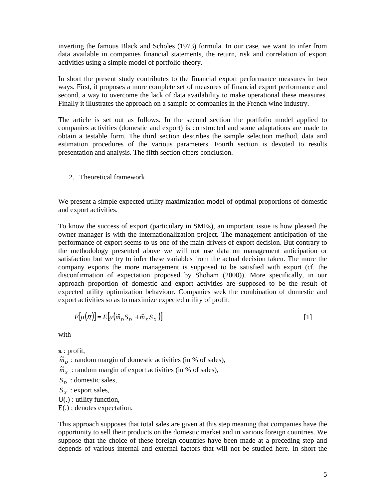inverting the famous Black and Scholes (1973) formula. In our case, we want to infer from data available in companies financial statements, the return, risk and correlation of export activities using a simple model of portfolio theory.

In short the present study contributes to the financial export performance measures in two ways. First, it proposes a more complete set of measures of financial export performance and second, a way to overcome the lack of data availability to make operational these measures. Finally it illustrates the approach on a sample of companies in the French wine industry.

The article is set out as follows. In the second section the portfolio model applied to companies activities (domestic and export) is constructed and some adaptations are made to obtain a testable form. The third section describes the sample selection method, data and estimation procedures of the various parameters. Fourth section is devoted to results presentation and analysis. The fifth section offers conclusion.

2. Theoretical framework

We present a simple expected utility maximization model of optimal proportions of domestic and export activities.

To know the success of export (particulary in SMEs), an important issue is how pleased the owner-manager is with the internationalization project. The management anticipation of the performance of export seems to us one of the main drivers of export decision. But contrary to the methodology presented above we will not use data on management anticipation or satisfaction but we try to infer these variables from the actual decision taken. The more the company exports the more management is supposed to be satisfied with export (cf. the disconfirmation of expectation proposed by Shoham (2000)). More specifically, in our approach proportion of domestic and export activities are supposed to be the result of expected utility optimization behaviour. Companies seek the combination of domestic and export activities so as to maximize expected utility of profit:

$$
E[u(\pi)] = E[u(\widetilde{m}_D S_D + \widetilde{m}_X S_X)]
$$
\n<sup>(1)</sup>

with

 $\pi$ : profit,

 $\tilde{m}_D$ : random margin of domestic activities (in % of sales),

 $\widetilde{m}_X$ : random margin of export activities (in % of sales),

*S*<sub>*D*</sub>: domestic sales,

*S X* : export sales,

U(.) : utility function,

E(.) : denotes expectation.

This approach supposes that total sales are given at this step meaning that companies have the opportunity to sell their products on the domestic market and in various foreign countries. We suppose that the choice of these foreign countries have been made at a preceding step and depends of various internal and external factors that will not be studied here. In short the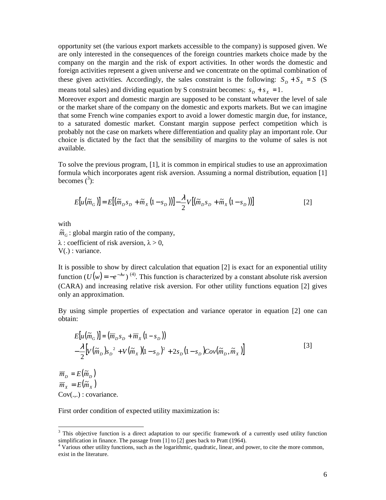opportunity set (the various export markets accessible to the company) is supposed given. We are only interested in the consequences of the foreign countries markets choice made by the company on the margin and the risk of export activities. In other words the domestic and foreign activities represent a given universe and we concentrate on the optimal combination of these given activities. Accordingly, the sales constraint is the following:  $S_D + S_X = S$  (S means total sales) and dividing equation by S constraint becomes:  $s<sub>D</sub> + s<sub>X</sub> = 1$ .

Moreover export and domestic margin are supposed to be constant whatever the level of sale or the market share of the company on the domestic and exports markets. But we can imagine that some French wine companies export to avoid a lower domestic margin due, for instance, to a saturated domestic market. Constant margin suppose perfect competition which is probably not the case on markets where differentiation and quality play an important role. Our choice is dictated by the fact that the sensibility of margins to the volume of sales is not available.

To solve the previous program, [1], it is common in empirical studies to use an approximation formula which incorporates agent risk aversion. Assuming a normal distribution, equation [1] becomes  $(^3)$ :

$$
E[u(\widetilde{m}_G)] = E[(\widetilde{m}_D s_D + \widetilde{m}_X(1 - s_D))] - \frac{\lambda}{2} V[(\widetilde{m}_D s_D + \widetilde{m}_X(1 - s_D))]
$$
\n<sup>(2)</sup>

with

 $\tilde{m}_G$ : global margin ratio of the company,  $\lambda$ : coefficient of risk aversion,  $\lambda > 0$ , V(.) : variance.

It is possible to show by direct calculation that equation [2] is exact for an exponential utility function  $(U(w) = -e^{-\lambda w})$ <sup>(4)</sup>. This function is characterized by a constant absolute risk aversion (CARA) and increasing relative risk aversion. For other utility functions equation [2] gives only an approximation.

By using simple properties of expectation and variance operator in equation [2] one can obtain:

$$
E[u(\widetilde{m}_G)] = (\overline{m}_D s_D + \overline{m}_X (1 - s_D))
$$
  
 
$$
-\frac{\lambda}{2} [V(\widetilde{m}_D) s_D^2 + V(\widetilde{m}_X) (1 - s_D)^2 + 2s_D (1 - s_D) Cov(\widetilde{m}_D, \widetilde{m}_X)]
$$
 [3]

 $\overline{m}_D = E(\widetilde{m}_D)$  $\overline{m}_x = E(\widetilde{m}_x)$ Cov(.,.) : covariance.

-

First order condition of expected utility maximization is:

 $3$  This objective function is a direct adaptation to our specific framework of a currently used utility function simplification in finance. The passage from [1] to [2] goes back to Pratt (1964).

<sup>&</sup>lt;sup>4</sup> Various other utility functions, such as the logarithmic, quadratic, linear, and power, to cite the more common, exist in the literature.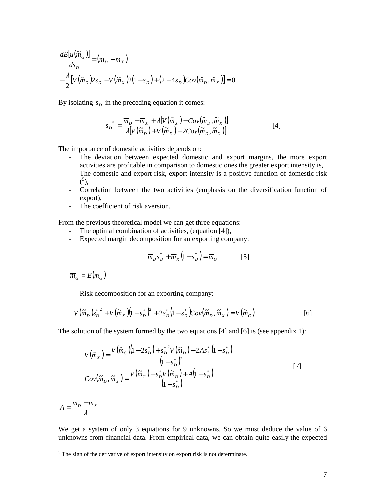$$
\frac{dE[u(\tilde{m}_G)]}{ds_D} = (\overline{m}_D - \overline{m}_X)
$$
  

$$
-\frac{\lambda}{2} [V(\tilde{m}_D) 2s_D - V(\tilde{m}_X) 2(1 - s_D) + (2 - 4s_D) Cov(\tilde{m}_D, \tilde{m}_X)] = 0
$$

By isolating  $s<sub>D</sub>$  in the preceding equation it comes:

$$
s_D^* = \frac{\overline{m}_D - \overline{m}_X + \lambda [V(\tilde{m}_X) - Cov(\tilde{m}_D, \tilde{m}_X)]}{\lambda [V(\tilde{m}_D) + V(\tilde{m}_X) - 2Cov(\tilde{m}_D, \tilde{m}_X)]}
$$
\n<sup>(4]</sup>

The importance of domestic activities depends on:

- The deviation between expected domestic and export margins, the more export activities are profitable in comparison to domestic ones the greater export intensity is,
- The domestic and export risk, export intensity is a positive function of domestic risk  $(5),$
- Correlation between the two activities (emphasis on the diversification function of export),
- The coefficient of risk aversion.

From the previous theoretical model we can get three equations:

- The optimal combination of activities, (equation [4]),
- Expected margin decomposition for an exporting company:

$$
\overline{m}_D s_D^* + \overline{m}_X (1 - s_D^*) = \overline{m}_G \tag{5}
$$

 $\overline{m}_G$  =  $E(m_G)$ 

- Risk decomposition for an exporting company:

$$
V(\tilde{m}_D) s_D^{*^2} + V(\tilde{m}_X)(1 - s_D^*)^2 + 2s_D^* (1 - s_D^*)Cov(\tilde{m}_D, \tilde{m}_X) = V(\tilde{m}_G)
$$
 [6]

The solution of the system formed by the two equations [4] and [6] is (see appendix 1):

$$
V(\widetilde{m}_X) = \frac{V(\widetilde{m}_G)(1 - 2s_D^*) + s_D^*^2 V(\widetilde{m}_D) - 2As_D^* (1 - s_D^*)}{(1 - s_D^*)^2}
$$
  
\n
$$
Cov(\widetilde{m}_D, \widetilde{m}_X) = \frac{V(\widetilde{m}_G) - s_D^* V(\widetilde{m}_D) + A(1 - s_D^*)}{(1 - s_D^*)}
$$
\n[7]

$$
A = \frac{\overline{m}_D - \overline{m}_X}{\lambda}
$$

We get a system of only 3 equations for 9 unknowns. So we must deduce the value of 6 unknowns from financial data. From empirical data, we can obtain quite easily the expected

<sup>&</sup>lt;sup>5</sup>The sign of the derivative of export intensity on export risk is not determinate.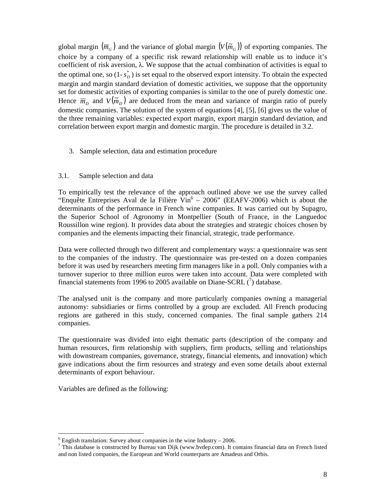global margin  $(\overline{m}_G)$  and the variance of global margin  $(V(\widetilde{m}_G))$  of exporting companies. The choice by a company of a specific risk reward relationship will enable us to induce it's coefficient of risk aversion, λ. We suppose that the actual combination of activities is equal to the optimal one, so  $(1-s_D^*)$  is set equal to the observed export intensity. To obtain the expected margin and margin standard deviation of domestic activities, we suppose that the opportunity set for domestic activities of exporting companies is similar to the one of purely domestic one. Hence  $\overline{m}_D$  and  $V(\widetilde{m}_D)$  are deduced from the mean and variance of margin ratio of purely domestic companies. The solution of the system of equations [4], [5], [6] gives us the value of the three remaining variables: expected export margin, export margin standard deviation, and correlation between export margin and domestic margin. The procedure is detailed in 3.2.

3. Sample selection, data and estimation procedure

#### 3.1. Sample selection and data

To empirically test the relevance of the approach outlined above we use the survey called "Enquête Entreprises Aval de la Filière  $\mathrm{Vir}^6 - 2006$ " (EEAFV-2006) which is about the determinants of the performance in French wine companies. It was carried out by Supagro, the Superior School of Agronomy in Montpellier (South of France, in the Languedoc Roussillon wine region). It provides data about the strategies and strategic choices chosen by companies and the elements impacting their financial, strategic, trade performance.

Data were collected through two different and complementary ways: a questionnaire was sent to the companies of the industry. The questionnaire was pre-tested on a dozen companies before it was used by researchers meeting firm managers like in a poll. Only companies with a turnover superior to three million euros were taken into account. Data were completed with financial statements from 1996 to 2005 available on Diane-SCRL  $\binom{7}{1}$  database.

The analysed unit is the company and more particularly companies owning a managerial autonomy: subsidiaries or firms controlled by a group are excluded. All French producing regions are gathered in this study, concerned companies. The final sample gathers 214 companies.

The questionnaire was divided into eight thematic parts (description of the company and human resources, firm relationship with suppliers, firm products, selling and relationships with downstream companies, governance, strategy, financial elements, and innovation) which gave indications about the firm resources and strategy and even some details about external determinants of export behaviour.

Variables are defined as the following:

-

 $6$  English translation: Survey about companies in the wine Industry  $-2006$ .

 $^7$  This database is constructed by Bureau van Dijk (www.bvdep.com). It contains financial data on French listed and non listed companies, the European and World counterparts are Amadeus and Orbis.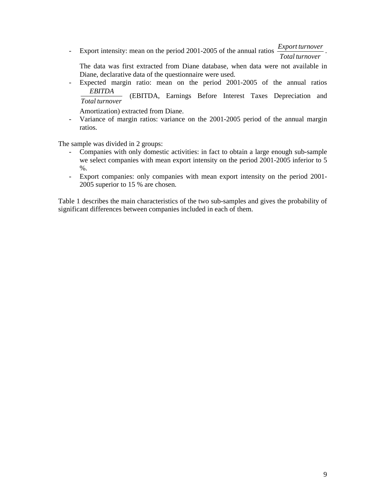- Export intensity: mean on the period 2001-2005 of the annual ratios *Total turnover Export turnover* .

The data was first extracted from Diane database, when data were not available in Diane, declarative data of the questionnaire were used.

- Expected margin ratio: mean on the period 2001-2005 of the annual ratios *Total turnover EBITDA* (EBITDA, Earnings Before Interest Taxes Depreciation and

Amortization) extracted from Diane.

- Variance of margin ratios: variance on the 2001-2005 period of the annual margin ratios.

The sample was divided in 2 groups:

- Companies with only domestic activities: in fact to obtain a large enough sub-sample we select companies with mean export intensity on the period 2001-2005 inferior to 5 %.
- Export companies: only companies with mean export intensity on the period 2001- 2005 superior to 15 % are chosen.

Table 1 describes the main characteristics of the two sub-samples and gives the probability of significant differences between companies included in each of them.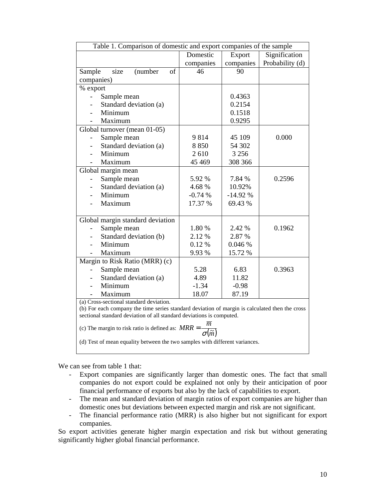| Table 1. Comparison of domestic and export companies of the sample                             |           |           |                 |  |
|------------------------------------------------------------------------------------------------|-----------|-----------|-----------------|--|
|                                                                                                | Domestic  | Export    | Signification   |  |
|                                                                                                | companies | companies | Probability (d) |  |
| size<br>(number<br>of<br>Sample                                                                | 46        | 90        |                 |  |
| companies)                                                                                     |           |           |                 |  |
| % export                                                                                       |           |           |                 |  |
| Sample mean                                                                                    |           | 0.4363    |                 |  |
| Standard deviation (a)                                                                         |           | 0.2154    |                 |  |
| Minimum                                                                                        |           | 0.1518    |                 |  |
| Maximum                                                                                        |           | 0.9295    |                 |  |
| Global turnover (mean 01-05)                                                                   |           |           |                 |  |
| Sample mean                                                                                    | 9814      | 45 109    | 0.000           |  |
| Standard deviation (a)                                                                         | 8850      | 54 302    |                 |  |
| Minimum                                                                                        | 2610      | 3 2 5 6   |                 |  |
| Maximum                                                                                        | 45 4 69   | 308 366   |                 |  |
| Global margin mean                                                                             |           |           |                 |  |
| Sample mean                                                                                    | 5.92 %    | 7.84 %    | 0.2596          |  |
| Standard deviation (a)                                                                         | 4.68%     | 10.92%    |                 |  |
| Minimum                                                                                        | $-0.74%$  | $-14.92%$ |                 |  |
| Maximum                                                                                        | 17.37 %   | 69.43 %   |                 |  |
|                                                                                                |           |           |                 |  |
| Global margin standard deviation<br>Sample mean                                                | 1.80 %    | 2.42 %    | 0.1962          |  |
| Standard deviation (b)                                                                         | 2.12 %    | 2.87 %    |                 |  |
| Minimum                                                                                        | 0.12%     | 0.046 %   |                 |  |
| Maximum                                                                                        | 9.93%     | 15.72 %   |                 |  |
| Margin to Risk Ratio (MRR) (c)                                                                 |           |           |                 |  |
| Sample mean                                                                                    | 5.28      | 6.83      | 0.3963          |  |
| Standard deviation (a)                                                                         | 4.89      | 11.82     |                 |  |
| Minimum                                                                                        | $-1.34$   | $-0.98$   |                 |  |
| Maximum                                                                                        | 18.07     | 87.19     |                 |  |
| (a) Cross-sectional standard deviation.                                                        |           |           |                 |  |
| (b) For each company the time series standard deviation of margin is calculated then the cross |           |           |                 |  |
| sectional standard deviation of all standard deviations is computed.                           |           |           |                 |  |
| (c) The margin to risk ratio is defined as: $MRR = -$                                          |           |           |                 |  |
| $\sigma(\widetilde{m})$                                                                        |           |           |                 |  |
| (d) Test of mean equality between the two samples with different variances.                    |           |           |                 |  |
|                                                                                                |           |           |                 |  |

We can see from table 1 that:

- Export companies are significantly larger than domestic ones. The fact that small companies do not export could be explained not only by their anticipation of poor financial performance of exports but also by the lack of capabilities to export.
- The mean and standard deviation of margin ratios of export companies are higher than domestic ones but deviations between expected margin and risk are not significant.
- The financial performance ratio (MRR) is also higher but not significant for export companies.

So export activities generate higher margin expectation and risk but without generating significantly higher global financial performance.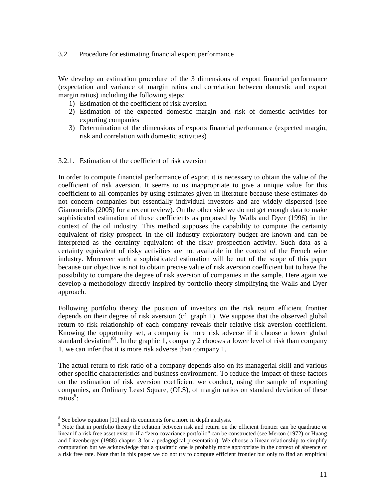#### 3.2. Procedure for estimating financial export performance

We develop an estimation procedure of the 3 dimensions of export financial performance (expectation and variance of margin ratios and correlation between domestic and export margin ratios) including the following steps:

- 1) Estimation of the coefficient of risk aversion
- 2) Estimation of the expected domestic margin and risk of domestic activities for exporting companies
- 3) Determination of the dimensions of exports financial performance (expected margin, risk and correlation with domestic activities)

#### 3.2.1. Estimation of the coefficient of risk aversion

In order to compute financial performance of export it is necessary to obtain the value of the coefficient of risk aversion. It seems to us inappropriate to give a unique value for this coefficient to all companies by using estimates given in literature because these estimates do not concern companies but essentially individual investors and are widely dispersed (see Giamouridis (2005) for a recent review). On the other side we do not get enough data to make sophisticated estimation of these coefficients as proposed by Walls and Dyer (1996) in the context of the oil industry. This method supposes the capability to compute the certainty equivalent of risky prospect. In the oil industry exploratory budget are known and can be interpreted as the certainty equivalent of the risky prospection activity. Such data as a certainty equivalent of risky activities are not available in the context of the French wine industry. Moreover such a sophisticated estimation will be out of the scope of this paper because our objective is not to obtain precise value of risk aversion coefficient but to have the possibility to compare the degree of risk aversion of companies in the sample. Here again we develop a methodology directly inspired by portfolio theory simplifying the Walls and Dyer approach.

Following portfolio theory the position of investors on the risk return efficient frontier depends on their degree of risk aversion (cf. graph 1). We suppose that the observed global return to risk relationship of each company reveals their relative risk aversion coefficient. Knowing the opportunity set, a company is more risk adverse if it choose a lower global standard deviation<sup>(8)</sup>. In the graphic 1, company 2 chooses a lower level of risk than company 1, we can infer that it is more risk adverse than company 1.

The actual return to risk ratio of a company depends also on its managerial skill and various other specific characteristics and business environment. To reduce the impact of these factors on the estimation of risk aversion coefficient we conduct, using the sample of exporting companies, an Ordinary Least Square, (OLS), of margin ratios on standard deviation of these ratios<sup>9</sup>:

<sup>-</sup><sup>8</sup> See below equation [11] and its comments for a more in depth analysis.

<sup>&</sup>lt;sup>9</sup> Note that in portfolio theory the relation between risk and return on the efficient frontier can be quadratic or linear if a risk free asset exist or if a "zero covariance portfolio" can be constructed (see Merton (1972) or Huang and Litzenberger (1988) chapter 3 for a pedagogical presentation). We choose a linear relationship to simplify computation but we acknowledge that a quadratic one is probably more appropriate in the context of absence of a risk free rate. Note that in this paper we do not try to compute efficient frontier but only to find an empirical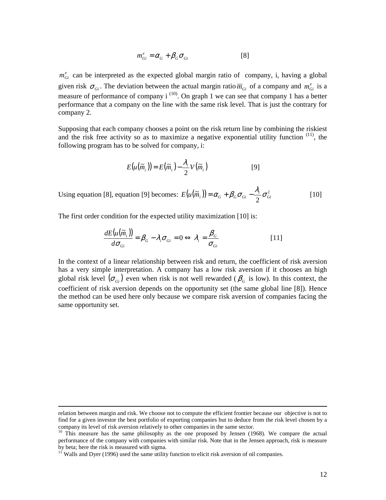$$
m_{Gi}^{e} = \alpha_{G} + \beta_{G} \sigma_{Gi} \qquad [8]
$$

 $m_{Gi}^e$  can be interpreted as the expected global margin ratio of company, i, having a global given risk  $\sigma_{G_i}$ . The deviation between the actual margin ratio  $\overline{m}_{G_i}$  of a company and  $m_{G_i}^e$  is a measure of performance of company  $i^{(10)}$ . On graph 1 we can see that company 1 has a better performance that a company on the line with the same risk level. That is just the contrary for company 2.

Supposing that each company chooses a point on the risk return line by combining the riskiest and the risk free activity so as to maximize a negative exponential utility function (11), the following program has to be solved for company, i:

$$
E(u(\widetilde{m}_i)) = E(\widetilde{m}_i) - \frac{\lambda_i}{2} V(\widetilde{m}_i)
$$
 [9]

Using equation [8], equation [9] becomes:  $E(u(\tilde{m}_i)) = \alpha_G + \beta_G \sigma_{Gi} - \frac{\lambda_i}{2} \sigma_G^2$ 2  $E(u(\widetilde{m}_i)) = \alpha_G + \beta_G \sigma_{Gi} - \frac{\lambda_i}{2} \sigma_{Gi}^2$  [10]

The first order condition for the expected utility maximization [10] is:

$$
\frac{dE(u(\widetilde{m}_i))}{d\sigma_{Gi}} = \beta_G - \lambda_i \sigma_{Gi} = 0 \Leftrightarrow \lambda_i = \frac{\beta_G}{\sigma_{Gi}} \tag{11}
$$

In the context of a linear relationship between risk and return, the coefficient of risk aversion has a very simple interpretation. A company has a low risk aversion if it chooses an high global risk level  $(\sigma_{Gi})$  even when risk is not well rewarded ( $\beta_G$  is low). In this context, the coefficient of risk aversion depends on the opportunity set (the same global line [8]). Hence the method can be used here only because we compare risk aversion of companies facing the same opportunity set.

-

relation between margin and risk. We choose not to compute the efficient frontier because our objective is not to find for a given investor the best portfolio of exporting companies but to deduce from the risk level chosen by a company its level of risk aversion relatively to other companies in the same sector.

<sup>&</sup>lt;sup>10</sup> This measure has the same philosophy as the one proposed by Jensen (1968). We compare the actual performance of the company with companies with similar risk. Note that in the Jensen approach, risk is measure by beta; here the risk is measured with sigma.

 $11$ <sup>I</sup> Walls and Dyer (1996) used the same utility function to elicit risk aversion of oil companies.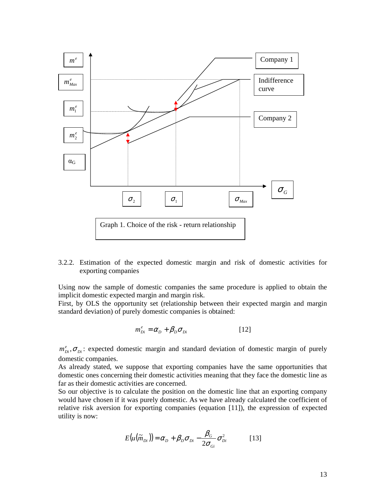

3.2.2. Estimation of the expected domestic margin and risk of domestic activities for exporting companies

Using now the sample of domestic companies the same procedure is applied to obtain the implicit domestic expected margin and margin risk.

First, by OLS the opportunity set (relationship between their expected margin and margin standard deviation) of purely domestic companies is obtained:

$$
m_{Di}^e = \alpha_D + \beta_D \sigma_{Di} \tag{12}
$$

 $m_{Di}^e$ ,  $\sigma_{Di}$ : expected domestic margin and standard deviation of domestic margin of purely domestic companies.

As already stated, we suppose that exporting companies have the same opportunities that domestic ones concerning their domestic activities meaning that they face the domestic line as far as their domestic activities are concerned.

So our objective is to calculate the position on the domestic line that an exporting company would have chosen if it was purely domestic. As we have already calculated the coefficient of relative risk aversion for exporting companies (equation [11]), the expression of expected utility is now:

$$
E(u(\widetilde{m}_{Di})) = \alpha_D + \beta_D \sigma_{Di} - \frac{\beta_G}{2\sigma_{Gi}} \sigma_{Di}^2
$$
 [13]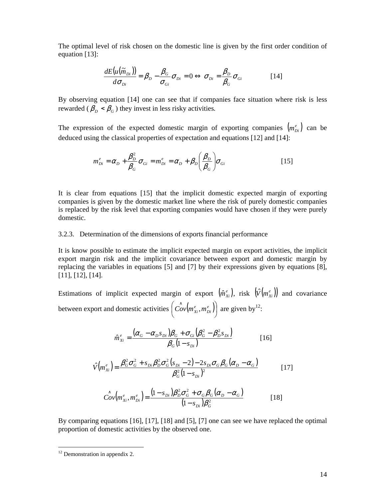The optimal level of risk chosen on the domestic line is given by the first order condition of equation [13]:

$$
\frac{dE(u(\tilde{m}_{Di}))}{d\sigma_{Di}} = \beta_D - \frac{\beta_G}{\sigma_{Gi}} \sigma_{Di} = 0 \Leftrightarrow \sigma_{Di} = \frac{\beta_D}{\beta_G} \sigma_{Gi} \tag{14}
$$

By observing equation [14] one can see that if companies face situation where risk is less rewarded ( $\beta_D < \beta_G$ ) they invest in less risky activities.

The expression of the expected domestic margin of exporting companies  $(m_{Di}^e)$  can be deduced using the classical properties of expectation and equations [12] and [14]:

$$
m_{Di}^e = \alpha_D + \frac{\beta_D^2}{\beta_G} \sigma_{Gi} = m_{Di}^e = \alpha_D + \beta_D \left(\frac{\beta_D}{\beta_G}\right) \sigma_{Gi}
$$
 [15]

It is clear from equations [15] that the implicit domestic expected margin of exporting companies is given by the domestic market line where the risk of purely domestic companies is replaced by the risk level that exporting companies would have chosen if they were purely domestic.

#### 3.2.3. Determination of the dimensions of exports financial performance

It is know possible to estimate the implicit expected margin on export activities, the implicit export margin risk and the implicit covariance between export and domestic margin by replacing the variables in equations [5] and [7] by their expressions given by equations [8], [11], [12], [14].

Estimations of implicit expected margin of export  $(\hat{m}_{xi}^e)$ , risk  $(\hat{V}(m_{xi}^e))$  and covariance between export and domestic activities  $\left( \hat{Cov}(m_{xi}^e, m_{Di}^e) \right)$  $\left(\overset{\wedge}{Cov}(m_{xi}^e, m_{Di}^e)\right)$ l  $\left( \hat{Cov}(m_{Xi}^e, m_{Di}^e) \right)$  are given by<sup>12</sup>:

$$
\hat{m}_{xi}^{e} = \frac{(\alpha_{G} - \alpha_{D} s_{Di})\beta_{G} + \sigma_{Gi}(\beta_{G}^{2} - \beta_{D}^{2} s_{Di})}{\beta_{G}(1 - s_{Di})}
$$
\n[16]

$$
\hat{V}(m_{Xi}^{e}) = \frac{\beta_{G}^{2} \sigma_{G}^{2} + s_{Di} \beta_{D}^{2} \sigma_{G}^{2} (s_{Di} - 2) - 2s_{Di} \sigma_{G} \beta_{G} (\alpha_{D} - \alpha_{G})}{\beta_{G}^{2} (1 - s_{Di})^{2}}
$$
\n[17]

$$
\hat{Cov}\left(m_{Xi}^e, m_{Di}^e\right) = \frac{(1 - s_{Di})\beta_D^2 \sigma_G^2 + \sigma_G \beta_G (\alpha_D - \alpha_G)}{(1 - s_{Di})\beta_G^2}
$$
 [18]

By comparing equations [16], [17], [18] and [5], [7] one can see we have replaced the optimal proportion of domestic activities by the observed one.

-

 $12$  Demonstration in appendix 2.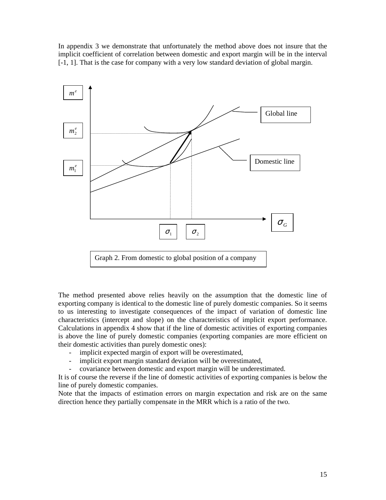In appendix 3 we demonstrate that unfortunately the method above does not insure that the implicit coefficient of correlation between domestic and export margin will be in the interval [-1, 1]. That is the case for company with a very low standard deviation of global margin.



The method presented above relies heavily on the assumption that the domestic line of exporting company is identical to the domestic line of purely domestic companies. So it seems to us interesting to investigate consequences of the impact of variation of domestic line characteristics (intercept and slope) on the characteristics of implicit export performance. Calculations in appendix 4 show that if the line of domestic activities of exporting companies is above the line of purely domestic companies (exporting companies are more efficient on their domestic activities than purely domestic ones):

- implicit expected margin of export will be overestimated,
- implicit export margin standard deviation will be overestimated,
- covariance between domestic and export margin will be underestimated.

It is of course the reverse if the line of domestic activities of exporting companies is below the line of purely domestic companies.

Note that the impacts of estimation errors on margin expectation and risk are on the same direction hence they partially compensate in the MRR which is a ratio of the two.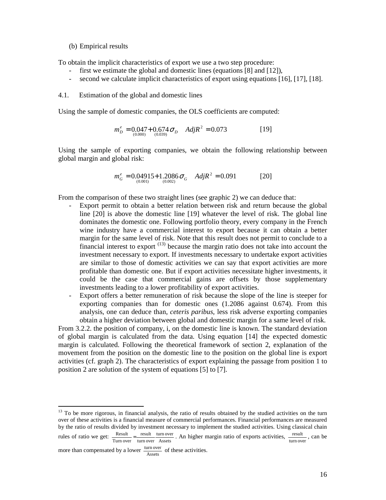(b) Empirical results

To obtain the implicit characteristics of export we use a two step procedure:

- first we estimate the global and domestic lines (equations [8] and [12]),
- second we calculate implicit characteristics of export using equations [16], [17], [18].
- 4.1. Estimation of the global and domestic lines

Using the sample of domestic companies, the OLS coefficients are computed:

$$
m_D^e = 0.047 + 0.674 \sigma_D \quad AdjR^2 = 0.073 \tag{19}
$$

Using the sample of exporting companies, we obtain the following relationship between global margin and global risk:

$$
m_G^e = 0.04915 + 1.2086 \sigma_G \quad Adj R^2 = 0.091 \tag{20}
$$

From the comparison of these two straight lines (see graphic 2) we can deduce that:

- Export permit to obtain a better relation between risk and return because the global line [20] is above the domestic line [19] whatever the level of risk. The global line dominates the domestic one. Following portfolio theory, every company in the French wine industry have a commercial interest to export because it can obtain a better margin for the same level of risk. Note that this result does not permit to conclude to a financial interest to export  $(13)$  because the margin ratio does not take into account the investment necessary to export. If investments necessary to undertake export activities are similar to those of domestic activities we can say that export activities are more profitable than domestic one. But if export activities necessitate higher investments, it could be the case that commercial gains are offsets by those supplementary investments leading to a lower profitability of export activities.
- Export offers a better remuneration of risk because the slope of the line is steeper for exporting companies than for domestic ones (1.2086 against 0.674). From this analysis, one can deduce than, *ceteris paribus*, less risk adverse exporting companies obtain a higher deviation between global and domestic margin for a same level of risk.

From 3.2.2. the position of company, i, on the domestic line is known. The standard deviation of global margin is calculated from the data. Using equation [14] the expected domestic margin is calculated. Following the theoretical framework of section 2, explanation of the movement from the position on the domestic line to the position on the global line is export activities (cf. graph 2). The characteristics of export explaining the passage from position 1 to position 2 are solution of the system of equations [5] to [7].

-

<sup>&</sup>lt;sup>13</sup> To be more rigorous, in financial analysis, the ratio of results obtained by the studied activities on the turn over of these activities is a financial measure of commercial performances. Financial performances are measured by the ratio of results divided by investment necessary to implement the studied activities. Using classical chain

rules of ratio we get:  $\frac{\text{Result}}{\text{Turn over}} = \frac{\text{result}}{\text{turn over}} \frac{\text{turn over}}{\text{Assets}}$ turn over turn over result Turn over  $\frac{\text{Result}}{\text{turn over}} = \frac{\text{result}}{\text{turn over}} \cdot \frac{\text{turn over}}{\text{Assets}}$ . An higher margin ratio of exports activities,  $\frac{\text{result}}{\text{turn over}}$ , can be

more than compensated by a lower  $\frac{\text{turn over}}{\text{Assets}}}$  of these activities.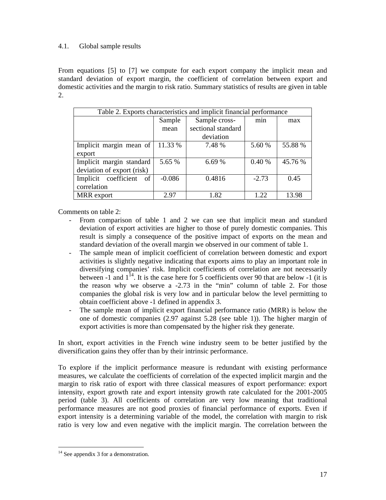#### 4.1. Global sample results

From equations [5] to [7] we compute for each export company the implicit mean and standard deviation of export margin, the coefficient of correlation between export and domestic activities and the margin to risk ratio. Summary statistics of results are given in table 2.

| Table 2. Exports characteristics and implicit financial performance |          |                    |         |         |  |
|---------------------------------------------------------------------|----------|--------------------|---------|---------|--|
|                                                                     | Sample   | Sample cross-      | min     | max     |  |
|                                                                     | mean     | sectional standard |         |         |  |
|                                                                     |          | deviation          |         |         |  |
| Implicit margin mean of                                             | 11.33 %  | 7.48 %             | 5.60 %  | 55.88 % |  |
| export                                                              |          |                    |         |         |  |
| Implicit margin standard                                            | 5.65 %   | 6.69%              | 0.40%   | 45.76 % |  |
| deviation of export (risk)                                          |          |                    |         |         |  |
| Implicit coefficient<br>of <sub>1</sub>                             | $-0.086$ | 0.4816             | $-2.73$ | 0.45    |  |
| correlation                                                         |          |                    |         |         |  |
| MRR export                                                          | 2.97     | 1.82               | 1.22    | 13.98   |  |

Comments on table 2:

- From comparison of table 1 and 2 we can see that implicit mean and standard deviation of export activities are higher to those of purely domestic companies. This result is simply a consequence of the positive impact of exports on the mean and standard deviation of the overall margin we observed in our comment of table 1.
- The sample mean of implicit coefficient of correlation between domestic and export activities is slightly negative indicating that exports aims to play an important role in diversifying companies' risk. Implicit coefficients of correlation are not necessarily between  $-1$  and  $1^{14}$ . It is the case here for 5 coefficients over 90 that are below  $-1$  (it is the reason why we observe a -2.73 in the "min" column of table 2. For those companies the global risk is very low and in particular below the level permitting to obtain coefficient above -1 defined in appendix 3.
- The sample mean of implicit export financial performance ratio (MRR) is below the one of domestic companies (2.97 against 5.28 (see table 1)). The higher margin of export activities is more than compensated by the higher risk they generate.

In short, export activities in the French wine industry seem to be better justified by the diversification gains they offer than by their intrinsic performance.

To explore if the implicit performance measure is redundant with existing performance measures, we calculate the coefficients of correlation of the expected implicit margin and the margin to risk ratio of export with three classical measures of export performance: export intensity, export growth rate and export intensity growth rate calculated for the 2001-2005 period (table 3). All coefficients of correlation are very low meaning that traditional performance measures are not good proxies of financial performance of exports. Even if export intensity is a determining variable of the model, the correlation with margin to risk ratio is very low and even negative with the implicit margin. The correlation between the

<sup>-</sup><sup>14</sup> See appendix 3 for a demonstration.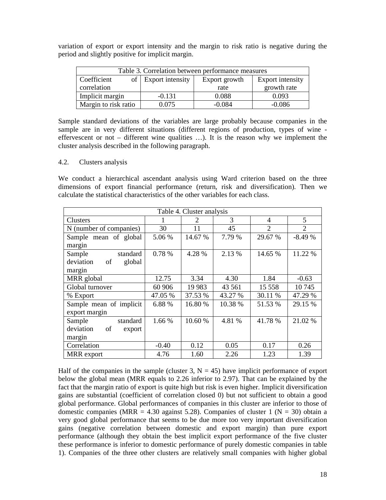variation of export or export intensity and the margin to risk ratio is negative during the period and slightly positive for implicit margin.

| Table 3. Correlation between performance measures |                     |               |                  |  |
|---------------------------------------------------|---------------------|---------------|------------------|--|
| Coefficient                                       | of Export intensity | Export growth | Export intensity |  |
| correlation                                       |                     | rate          | growth rate      |  |
| Implicit margin                                   | $-0.131$            | 0.088         | 0.093            |  |
| Margin to risk ratio                              | 0.075               | $-0.084$      | $-0.086$         |  |

Sample standard deviations of the variables are large probably because companies in the sample are in very different situations (different regions of production, types of wine effervescent or not – different wine qualities …). It is the reason why we implement the cluster analysis described in the following paragraph.

#### 4.2. Clusters analysis

We conduct a hierarchical ascendant analysis using Ward criterion based on the three dimensions of export financial performance (return, risk and diversification). Then we calculate the statistical characteristics of the other variables for each class.

| Table 4. Cluster analysis |         |         |         |                |                |
|---------------------------|---------|---------|---------|----------------|----------------|
| Clusters                  |         | 2       | 3       | 4              | 5              |
| N (number of companies)   | 30      | 11      | 45      | $\overline{2}$ | $\overline{2}$ |
| Sample mean of global     | 5.06 %  | 14.67 % | 7.79 %  | 29.67 %        | $-8.49%$       |
| margin                    |         |         |         |                |                |
| Sample<br>standard        | 0.78 %  | 4.28 %  | 2.13 %  | 14.65 %        | 11.22 %        |
| deviation<br>global<br>of |         |         |         |                |                |
| margin                    |         |         |         |                |                |
| MRR global                | 12.75   | 3.34    | 4.30    | 1.84           | $-0.63$        |
| Global turnover           | 60 906  | 19 9 83 | 43 5 61 | 15 558         | 10745          |
| % Export                  | 47.05 % | 37.53 % | 43.27 % | 30.11 %        | 47.29 %        |
| Sample mean of implicit   | 6.88 %  | 16.80 % | 10.38 % | 51.53 %        | 29.15 %        |
| export margin             |         |         |         |                |                |
| standard<br>Sample        | 1.66 %  | 10.60 % | 4.81 %  | 41.78 %        | 21.02 %        |
| deviation<br>of<br>export |         |         |         |                |                |
| margin                    |         |         |         |                |                |
| Correlation               | $-0.40$ | 0.12    | 0.05    | 0.17           | 0.26           |
| MRR export                | 4.76    | 1.60    | 2.26    | 1.23           | 1.39           |

Half of the companies in the sample (cluster 3,  $N = 45$ ) have implicit performance of export below the global mean (MRR equals to 2.26 inferior to 2.97). That can be explained by the fact that the margin ratio of export is quite high but risk is even higher. Implicit diversification gains are substantial (coefficient of correlation closed 0) but not sufficient to obtain a good global performance. Global performances of companies in this cluster are inferior to those of domestic companies (MRR = 4.30 against 5.28). Companies of cluster 1 ( $N = 30$ ) obtain a very good global performance that seems to be due more too very important diversification gains (negative correlation between domestic and export margin) than pure export performance (although they obtain the best implicit export performance of the five cluster these performance is inferior to domestic performance of purely domestic companies in table 1). Companies of the three other clusters are relatively small companies with higher global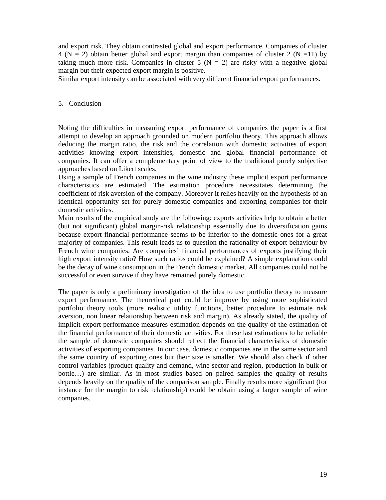and export risk. They obtain contrasted global and export performance. Companies of cluster 4 ( $N = 2$ ) obtain better global and export margin than companies of cluster 2 ( $N = 11$ ) by taking much more risk. Companies in cluster 5 ( $N = 2$ ) are risky with a negative global margin but their expected export margin is positive.

Similar export intensity can be associated with very different financial export performances.

#### 5. Conclusion

Noting the difficulties in measuring export performance of companies the paper is a first attempt to develop an approach grounded on modern portfolio theory. This approach allows deducing the margin ratio, the risk and the correlation with domestic activities of export activities knowing export intensities, domestic and global financial performance of companies. It can offer a complementary point of view to the traditional purely subjective approaches based on Likert scales.

Using a sample of French companies in the wine industry these implicit export performance characteristics are estimated. The estimation procedure necessitates determining the coefficient of risk aversion of the company. Moreover it relies heavily on the hypothesis of an identical opportunity set for purely domestic companies and exporting companies for their domestic activities.

Main results of the empirical study are the following: exports activities help to obtain a better (but not significant) global margin-risk relationship essentially due to diversification gains because export financial performance seems to be inferior to the domestic ones for a great majority of companies. This result leads us to question the rationality of export behaviour by French wine companies. Are companies' financial performances of exports justifying their high export intensity ratio? How such ratios could be explained? A simple explanation could be the decay of wine consumption in the French domestic market. All companies could not be successful or even survive if they have remained purely domestic.

The paper is only a preliminary investigation of the idea to use portfolio theory to measure export performance. The theoretical part could be improve by using more sophisticated portfolio theory tools (more realistic utility functions, better procedure to estimate risk aversion, non linear relationship between risk and margin). As already stated, the quality of implicit export performance measures estimation depends on the quality of the estimation of the financial performance of their domestic activities. For these last estimations to be reliable the sample of domestic companies should reflect the financial characteristics of domestic activities of exporting companies. In our case, domestic companies are in the same sector and the same country of exporting ones but their size is smaller. We should also check if other control variables (product quality and demand, wine sector and region, production in bulk or bottle…) are similar. As in most studies based on paired samples the quality of results depends heavily on the quality of the comparison sample. Finally results more significant (for instance for the margin to risk relationship) could be obtain using a larger sample of wine companies.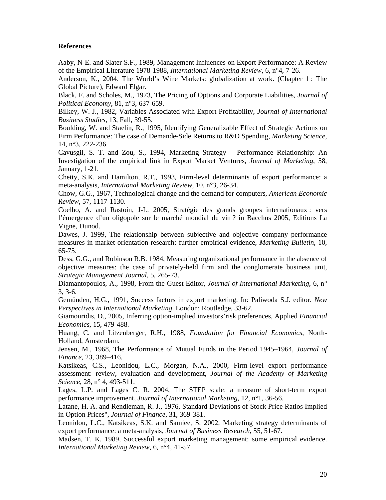#### **References**

Aaby, N-E. and Slater S.F., 1989, Management Influences on Export Performance: A Review of the Empirical Literature 1978-1988, *International Marketing Review*, 6, n°4, 7-26.

Anderson, K., 2004. The World's Wine Markets: globalization at work. (Chapter 1 : The Global Picture), Edward Elgar.

Black, F. and Scholes, M., 1973, The Pricing of Options and Corporate Liabilities, *Journal of Political Economy*, 81, n°3, 637-659.

Bilkey, W. J., 1982, Variables Associated with Export Profitability, *Journal of International Business Studies*, 13, Fall, 39-55.

Boulding, W. and Staelin, R., 1995, Identifying Generalizable Effect of Strategic Actions on Firm Performance: The case of Demande-Side Returns to R&D Spending, *Marketing Science*, 14, n°3, 222-236.

Cavusgil, S. T. and Zou, S., 1994, Marketing Strategy – Performance Relationship: An Investigation of the empirical link in Export Market Ventures, *Journal of Marketing*, 58, January, 1-21.

Chetty, S.K. and Hamilton, R.T., 1993, Firm-level determinants of export performance: a meta-analysis, *International Marketing Review*, 10, n°3, 26-34.

Chow, G.G., 1967, Technological change and the demand for computers, *American Economic Review*, 57, 1117-1130.

Coelho, A. and Rastoin, J-L. 2005, Stratégie des grands groupes internationaux : vers l'émergence d'un oligopole sur le marché mondial du vin ? in Bacchus 2005, Editions La Vigne, Dunod.

Dawes, J. 1999, The relationship between subjective and objective company performance measures in market orientation research: further empirical evidence, *Marketing Bulletin*, 10, 65-75.

Dess, G.G., and Robinson R.B. 1984, Measuring organizational performance in the absence of objective measures: the case of privately-held firm and the conglomerate business unit, *Strategic Management Journal*, 5, 265-73.

Diamantopoulos, A., 1998, From the Guest Editor, *Journal of International Marketing*, 6, n° 3, 3-6.

Gemünden, H.G., 1991, Success factors in export marketing. In: Paliwoda S.J. editor. *New Perspectives in International Marketing*. London: Routledge, 33-62.

Giamouridis, D., 2005, Inferring option-implied investors'risk preferences, Applied *Financial Economics*, 15, 479-488.

Huang, C. and Litzenberger, R.H., 1988, *Foundation for Financial Economics*, North-Holland, Amsterdam.

Jensen, M., 1968, The Performance of Mutual Funds in the Period 1945–1964, *Journal of Finance*, 23, 389–416.

Katsikeas, C.S., Leonidou, L.C., Morgan, N.A., 2000, Firm-level export performance assessment: review, evaluation and development, *Journal of the Academy of Marketing Science*, 28, n° 4, 493-511.

Lages, L.P. and Lages C. R. 2004, The STEP scale: a measure of short-term export performance improvement, *Journal of International Marketing*, 12, n°1, 36-56.

Latane, H. A. and Rendleman, R. J., 1976, Standard Deviations of Stock Price Ratios Implied in Option Prices", *Journal of Finance*, 31, 369-381.

Leonidou, L.C., Katsikeas, S.K. and Samiee, S. 2002, Marketing strategy determinants of export performance: a meta-analysis, *Journal of Business Research*, 55, 51-67.

Madsen, T. K. 1989, Successful export marketing management: some empirical evidence. *International Marketing Review*, 6, n°4, 41-57.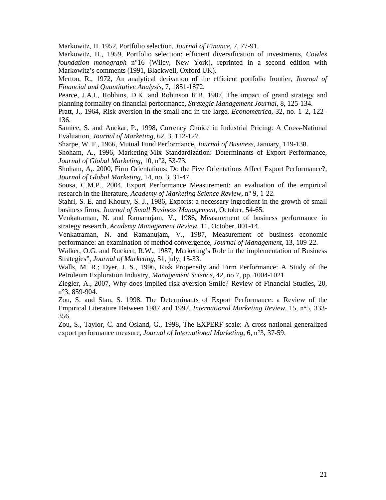Markowitz, H. 1952, Portfolio selection, *Journal of Finance*, 7, 77-91.

Markowitz, H., 1959, Portfolio selection: efficient diversification of investments, *Cowles foundation monograph* n°16 (Wiley, New York), reprinted in a second edition with Markowitz's comments (1991, Blackwell, Oxford UK).

Merton, R., 1972, An analytical derivation of the efficient portfolio frontier, *Journal of Financial and Quantitative Analysis*, 7, 1851-1872.

Pearce, J.A.I., Robbins, D.K. and Robinson R.B. 1987, The impact of grand strategy and planning formality on financial performance, *Strategic Management Journal*, 8, 125-134.

Pratt, J., 1964, Risk aversion in the small and in the large, *Econometrica*, 32, no. 1–2, 122– 136.

Samiee, S. and Anckar, P., 1998, Currency Choice in Industrial Pricing: A Cross-National Evaluation, *Journal of Marketing*, 62, 3, 112-127.

Sharpe, W. F., 1966, Mutual Fund Performance, *Journal of Business*, January, 119-138.

Shoham, A., 1996, Marketing-Mix Standardization: Determinants of Export Performance, *Journal of Global Marketing*, 10, n°2, 53-73.

Shoham, A,. 2000, Firm Orientations: Do the Five Orientations Affect Export Performance?, *Journal of Global Marketing*, 14, no. 3, 31-47.

Sousa, C.M.P., 2004, Export Performance Measurement: an evaluation of the empirical research in the literature, *Academy of Marketing Science Review*, n° 9, 1-22.

Stahrl, S. E. and Khoury, S. J., 1986, Exports: a necessary ingredient in the growth of small business firms, *Journal of Small Business Management*, October, 54-65.

Venkatraman, N. and Ramanujam, V., 1986, Measurement of business performance in strategy research, *Academy Management Review*, 11, October, 801-14.

Venkatraman, N. and Ramanujam, V., 1987, Measurement of business economic performance: an examination of method convergence, *Journal of Management*, 13, 109-22.

Walker, O.G. and Ruckert, R.W., 1987, Marketing's Role in the implementation of Business Strategies", *Journal of Marketing*, 51, july, 15-33.

Walls, M. R.; Dyer, J. S., 1996, Risk Propensity and Firm Performance: A Study of the Petroleum Exploration Industry, *Management Science*, 42, no 7, pp. 1004-1021

Ziegler, A., 2007, Why does implied risk aversion Smile? Review of Financial Studies, 20, n°3, 859-904.

Zou, S. and Stan, S. 1998. The Determinants of Export Performance: a Review of the Empirical Literature Between 1987 and 1997. *International Marketing Review*, 15, n°5, 333- 356.

Zou, S., Taylor, C. and Osland, G., 1998, The EXPERF scale: A cross-national generalized export performance measure, *Journal of International Marketing,* 6, n°3, 37-59.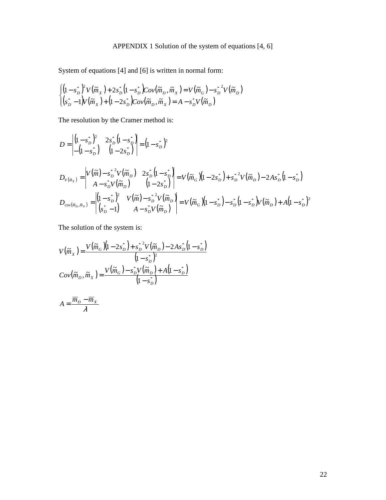### APPENDIX 1 Solution of the system of equations [4, 6]

System of equations [4] and [6] is written in normal form:

$$
\begin{cases}\n\left(1 - s_D^*\right)^2 V\left(\tilde{m}_X\right) + 2s_D^*\left(1 - s_D^*\right) \text{Cov}\left(\tilde{m}_D, \tilde{m}_X\right) = V\left(\tilde{m}_G\right) - s_D^{*2} V\left(\tilde{m}_D\right) \\
\left(s_D^* - 1\right) V\left(\tilde{m}_X\right) + \left(1 - 2s_D^*\right) \text{Cov}\left(\tilde{m}_D, \tilde{m}_X\right) = A - s_D^* V\left(\tilde{m}_D\right)\n\end{cases}
$$

The resolution by the Cramer method is:

$$
D = \begin{vmatrix} (1 - s_D^*)^2 & 2s_D^* (1 - s_D^*) \\ -(1 - s_D^*) & (1 - 2s_D^*) \end{vmatrix} = (1 - s_D^*)^2
$$
  
\n
$$
D_{V(\tilde{m}_X)} = \begin{vmatrix} V(\tilde{m}) - s_D^*^2 V(\tilde{m}_D) & 2s_D^* (1 - s_D^*) \\ A - s_D^* V(\tilde{m}_D) & (1 - 2s_D^*) \end{vmatrix} = V(\tilde{m}_G)(1 - 2s_D^*) + s_D^*^2 V(\tilde{m}_D) - 2As_D^* (1 - s_D^*)
$$
  
\n
$$
D_{cov(\tilde{m}_D, \tilde{m}_X)} = \begin{vmatrix} (1 - s_D^*)^2 & V(\tilde{m}) - s_D^*^2 V(\tilde{m}_D) \\ (s_D^* - 1) & A - s_D^* V(\tilde{m}_D) \end{vmatrix} = V(\tilde{m}_G)(1 - s_D^*) - s_D^* (1 - s_D^*) V(\tilde{m}_D) + A(1 - s_D^*)^2
$$

The solution of the system is:

$$
V(\widetilde{m}_x) = \frac{V(\widetilde{m}_G)(1 - 2s_D^*) + s_D^{*2}V(\widetilde{m}_D) - 2As_D^*(1 - s_D^*)}{(1 - s_D^*)^2}
$$

$$
Cov(\widetilde{m}_D, \widetilde{m}_x) = \frac{V(\widetilde{m}_G) - s_D^*V(\widetilde{m}_D) + A(1 - s_D^*)}{(1 - s_D^*)}
$$

$$
A = \frac{\overline{m}_D - \overline{m}_X}{\lambda}
$$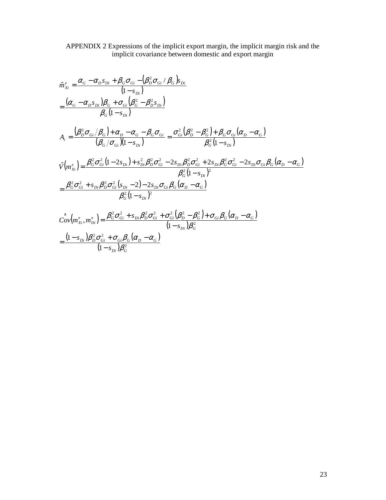#### APPENDIX 2 Expressions of the implicit export margin, the implicit margin risk and the implicit covariance between domestic and export margin

$$
\hat{m}_{xi}^{e} = \frac{\alpha_{G} - \alpha_{D}s_{Di} + \beta_{G}\sigma_{Gi} - (\beta_{D}^{2}\sigma_{Gi}/\beta_{G})s_{Di}}{(1 - s_{Di})}
$$
\n
$$
= \frac{(\alpha_{G} - \alpha_{D}s_{Di})\beta_{G} + \sigma_{Gi}(\beta_{G}^{2} - \beta_{D}^{2}s_{Di})}{\beta_{G}(1 - s_{Di})}
$$
\n
$$
A_{i} = \frac{(\beta_{D}^{2}\sigma_{Gi}/\beta_{G}) + \alpha_{D} - \alpha_{G} - \beta_{G}\sigma_{Gi}}{(\beta_{G}/\sigma_{Gi})(1 - s_{Di})} = \frac{\sigma_{Gi}^{2}(\beta_{D}^{2} - \beta_{G}^{2}) + \beta_{G}\sigma_{Gi}(\alpha_{D} - \alpha_{G})}{\beta_{G}^{2}(1 - s_{Di})}
$$
\n
$$
\hat{V}(m_{xi}^{e}) = \frac{\beta_{G}^{2}\sigma_{Gi}^{2}(1 - 2s_{Di}) + s_{Di}^{2}\beta_{D}^{2}\sigma_{Gi}^{2} - 2s_{Di}\beta_{D}^{2}\sigma_{Gi}^{2} + 2s_{Di}\beta_{G}^{2}\sigma_{Gi}^{2} - 2s_{Di}\sigma_{Gi}\beta_{G}(\alpha_{D} - \alpha_{G})}{\beta_{G}^{2}(1 - s_{Di})^{2}}
$$
\n
$$
= \frac{\beta_{G}^{2}\sigma_{Gi}^{2} + s_{Di}\beta_{D}^{2}\sigma_{Gi}^{2}(s_{Di} - 2) - 2s_{Di}\sigma_{Gi}\beta_{G}(\alpha_{D} - \alpha_{G})}{\beta_{G}^{2}(1 - s_{Di})^{2}}
$$
\n
$$
\hat{Cov}(m_{xi}^{e}, m_{Di}^{e}) = \frac{\beta_{G}^{2}\sigma_{Gi}^{2} + s_{Di}\beta_{D}^{2}\sigma_{Gi}^{2} + \sigma_{Gi}^{2}(\beta_{D}^{2} - \beta_{G}^{2}) + \sigma_{Gi}\beta_{G}(\alpha_{D} - \alpha_{G})}{(1 - s_{Di})\beta_{G}^{2}}
$$

$$
=\frac{(1-s_{Di})\beta_D^2\sigma_{Gi}^2+\sigma_{Gi}\beta_G(\alpha_D-\alpha_G)}{(1-s_{Di})\beta_G^2}
$$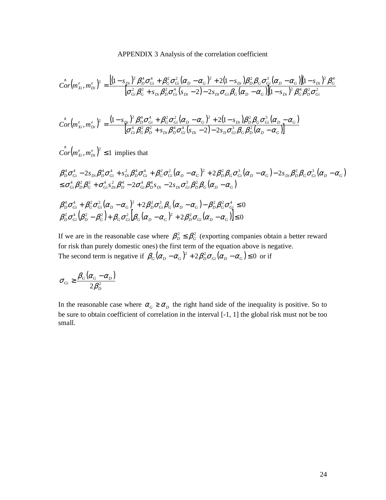APPENDIX 3 Analysis of the correlation coefficient

$$
\hat{Cor}(m_{xi}^e, m_{Di}^e)^2 = \frac{\left[ (1 - s_{Di})^2 \beta_D^4 \sigma_{Gi}^4 + \beta_G^2 \sigma_{Gi}^2 (\alpha_D - \alpha_G)^2 + 2 (1 - s_{Di}) \beta_D^2 \beta_G \sigma_{Gi}^3 (\alpha_D - \alpha_G) \right] (1 - s_{Di})^2 \beta_G^4}{\left[ \sigma_{Gi}^2 \beta_G^2 + s_{Di} \beta_D^2 \sigma_{Gi}^4 (s_{Di} - 2) - 2 s_{Di} \sigma_{Gi} \beta_G (\alpha_D - \alpha_G) \right] (1 - s_{Di})^2 \beta_G^4 \beta_D^2 \sigma_{Gi}^2}
$$

$$
\hat{Cor}(m_{xi}^{e}, m_{Di}^{e})^{2} = \frac{(1 - s_{Di})^{2} \beta_{D}^{4} \sigma_{Gi}^{4} + \beta_{G}^{2} \sigma_{Gi}^{2} (\alpha_{D} - \alpha_{G})^{2} + 2(1 - s_{Di}) \beta_{D}^{2} \beta_{G} \sigma_{Gi}^{3} (\alpha_{D} - \alpha_{G})}{\sigma_{Gi}^{4} \beta_{G}^{2} \beta_{D}^{2} + s_{Di} \beta_{D}^{4} \sigma_{Gi}^{4} (s_{Di} - 2) - 2s_{D} \sigma_{Gi}^{3} \beta_{G} \beta_{D}^{2} (\alpha_{D} - \alpha_{G})}
$$

 $\left( \int_{C}^{\infty} C \left( m_{Xi}^e, m_{Di}^e \right)^2 \leq 1 \right)$  implies that

$$
\beta_{D}^{4}\sigma_{Gi}^{4} - 2s_{Di}\beta_{D}^{4}\sigma_{Gi}^{4} + s_{Di}^{2}\beta_{D}^{4}\sigma_{Gi}^{4} + \beta_{G}^{2}\sigma_{Gi}^{2}(\alpha_{D} - \alpha_{G})^{2} + 2\beta_{D}^{2}\beta_{G}\sigma_{Gi}^{3}(\alpha_{D} - \alpha_{G}) - 2s_{Di}\beta_{D}^{2}\beta_{G}\sigma_{Gi}^{3}(\alpha_{D} - \alpha_{G})
$$
  
\n
$$
\leq \sigma_{Gi}^{4}\beta_{D}^{2}\beta_{G}^{2} + \sigma_{Gi}^{4}s_{Di}^{2}\beta_{D}^{4} - 2\sigma_{Gi}^{4}\beta_{D}^{4}s_{Di} - 2s_{Di}\sigma_{Gi}^{3}\beta_{D}^{2}\beta_{G}(\alpha_{D} - \alpha_{G})
$$

$$
\beta_D^4 \sigma_{Gi}^4 + \beta_G^2 \sigma_{Gi}^2 (\alpha_D - \alpha_G)^2 + 2\beta_D^2 \sigma_{Gi}^3 \beta_G (\alpha_D - \alpha_G) - \beta_D^2 \beta_G^2 \sigma_{Gi}^4 \le 0
$$
  

$$
\beta_D^2 \sigma_{Gi}^4 (\beta_D^2 - \beta_G^2) + \beta_G \sigma_{Gi}^2 [\beta_G (\alpha_D - \alpha_G)^2 + 2\beta_D^2 \sigma_{Gi} (\alpha_D - \alpha_G)] \le 0
$$

If we are in the reasonable case where  $\beta_{D}^2 \leq \beta_{G}^2$  (exporting companies obtain a better reward for risk than purely domestic ones) the first term of the equation above is negative. The second term is negative if  $\beta_G (\alpha_D - \alpha_G)^2 + 2\beta_D^2 \sigma_{Gi} (\alpha_D - \alpha_G) \le 0$  or if

$$
\sigma_{Gi} \geq \frac{\beta_G(\alpha_G - \alpha_D)}{2\beta_D^2}
$$

In the reasonable case where  $\alpha_G \ge \alpha_D$  the right hand side of the inequality is positive. So to be sure to obtain coefficient of correlation in the interval [-1, 1] the global risk must not be too small.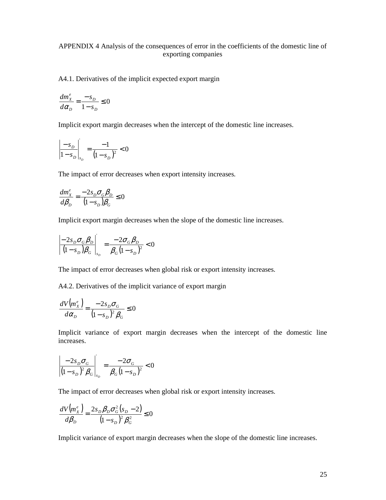#### APPENDIX 4 Analysis of the consequences of error in the coefficients of the domestic line of exporting companies

A4.1. Derivatives of the implicit expected export margin

$$
\frac{dm_x^e}{d\alpha_D} = \frac{-s_D}{1 - s_D} \le 0
$$

Implicit export margin decreases when the intercept of the domestic line increases.

$$
\left| \frac{-s_D}{1 - s_D} \right|_{s_D} = \frac{-1}{(1 - s_D)^2} < 0
$$

The impact of error decreases when export intensity increases.

$$
\frac{dm_x^e}{d\beta_D} = \frac{-2s_D \sigma_G \beta_D}{(1 - s_D)\beta_G} \le 0
$$

Implicit export margin decreases when the slope of the domestic line increases.

$$
\left|\frac{-2s_D \sigma_G \beta_D}{(1-s_D)\beta_G}\right|_{s_D} = \frac{-2\sigma_G \beta_D}{\beta_G (1-s_D)^2} < 0
$$

The impact of error decreases when global risk or export intensity increases.

A4.2. Derivatives of the implicit variance of export margin

$$
\frac{dV\left(m_{X}^{e}\right)}{d\alpha_{D}} = \frac{-2s_{D}\sigma_{G}}{\left(1 - s_{D}\right)^{2}\beta_{G}} \le 0
$$

Implicit variance of export margin decreases when the intercept of the domestic line increases.

$$
\left|\frac{-2s_D\sigma_G}{(1-s_D)^2\beta_G}\right|_{s_D} = \frac{-2\sigma_G}{\beta_G(1-s_D)^2} < 0
$$

The impact of error decreases when global risk or export intensity increases.

$$
\frac{dV(m_{x}^{e})}{d\beta_{D}} = \frac{2s_{D}\beta_{D}\sigma_{G}^{2}(s_{D} - 2)}{(1 - s_{D})^{2}\beta_{G}^{2}} \le 0
$$

Implicit variance of export margin decreases when the slope of the domestic line increases.